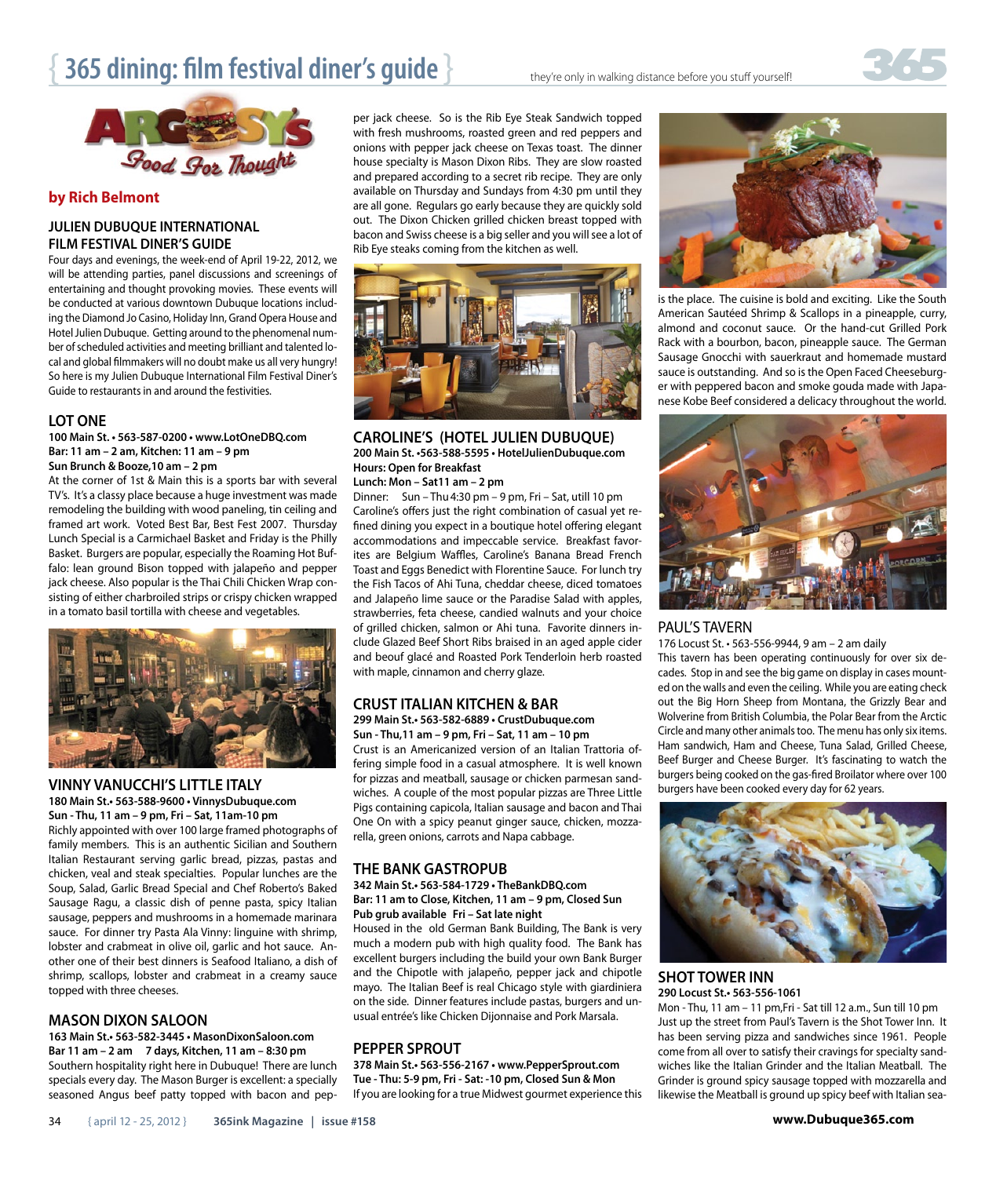# **365 dining: film festival diner's guide**  $\}$  they're only in walking distance before you stuff yourself!



#### **by Rich Belmont**

#### **JULIEN DUBUQUE INTERNATIONAL FILM FESTIVAL DINER'S GUIDE**

Four days and evenings, the week-end of April 19-22, 2012, we will be attending parties, panel discussions and screenings of entertaining and thought provoking movies. These events will be conducted at various downtown Dubuque locations including the Diamond Jo Casino, Holiday Inn, Grand Opera House and Hotel Julien Dubuque. Getting around to the phenomenal number of scheduled activities and meeting brilliant and talented local and global filmmakers will no doubt make us all very hungry! So here is my Julien Dubuque International Film Festival Diner's Guide to restaurants in and around the festivities.

#### **LOT ONE**

100 Main St. • 563-587-0200 • www.LotOneDBO.com **Bar: 11 am – 2 am, Kitchen: 11 am – 9 pm Sun Brunch & Booze,10 am – 2 pm**

At the corner of 1st & Main this is a sports bar with several TV's. It's a classy place because a huge investment was made remodeling the building with wood paneling, tin ceiling and framed art work. Voted Best Bar, Best Fest 2007. Thursday Lunch Special is a Carmichael Basket and Friday is the Philly Basket. Burgers are popular, especially the Roaming Hot Buffalo: lean ground Bison topped with jalapeño and pepper jack cheese. Also popular is the Thai Chili Chicken Wrap consisting of either charbroiled strips or crispy chicken wrapped in a tomato basil tortilla with cheese and vegetables.



## **VINNY VANUCCHI'S LITTLE ITALY**

180 Main St.<sub>•</sub> 563-588-9600 · VinnysDubuque.com **Sun - Thu, 11 am – 9 pm, Fri – Sat, 11am-10 pm**

Richly appointed with over 100 large framed photographs of family members. This is an authentic Sicilian and Southern Italian Restaurant serving garlic bread, pizzas, pastas and chicken, veal and steak specialties. Popular lunches are the Soup, Salad, Garlic Bread Special and Chef Roberto's Baked Sausage Ragu, a classic dish of penne pasta, spicy Italian sausage, peppers and mushrooms in a homemade marinara sauce. For dinner try Pasta Ala Vinny: linguine with shrimp, lobster and crabmeat in olive oil, garlic and hot sauce. Another one of their best dinners is Seafood Italiano, a dish of shrimp, scallops, lobster and crabmeat in a creamy sauce topped with three cheeses.

#### **MASON DIXON SALOON**

163 Main St.<sub>•</sub> 563-582-3445 • MasonDixonSaloon.com **Bar 11 am – 2 am 7 days, Kitchen, 11 am – 8:30 pm** Southern hospitality right here in Dubuque! There are lunch specials every day. The Mason Burger is excellent: a specially seasoned Angus beef patty topped with bacon and pepper jack cheese. So is the Rib Eye Steak Sandwich topped with fresh mushrooms, roasted green and red peppers and onions with pepper jack cheese on Texas toast. The dinner house specialty is Mason Dixon Ribs. They are slow roasted and prepared according to a secret rib recipe. They are only available on Thursday and Sundays from 4:30 pm until they are all gone. Regulars go early because they are quickly sold out. The Dixon Chicken grilled chicken breast topped with bacon and Swiss cheese is a big seller and you will see a lot of Rib Eye steaks coming from the kitchen as well.



#### **CAROLINE'S (HOTEL JULIEN DUBUQUE)** 200 Main St. • 563-588-5595 · HotelJulienDubuque.com **Hours: Open for Breakfast**

**Lunch: Mon – Sat11 am – 2 pm**

Dinner: Sun – Thu4:30 pm – 9 pm, Fri – Sat, utill 10 pm Caroline's offers just the right combination of casual yet refined dining you expect in a boutique hotel offering elegant accommodations and impeccable service. Breakfast favorites are Belgium Waffles, Caroline's Banana Bread French Toast and Eggs Benedict with Florentine Sauce. For lunch try the Fish Tacos of Ahi Tuna, cheddar cheese, diced tomatoes and Jalapeño lime sauce or the Paradise Salad with apples, strawberries, feta cheese, candied walnuts and your choice of grilled chicken, salmon or Ahi tuna. Favorite dinners include Glazed Beef Short Ribs braised in an aged apple cider and beouf glacé and Roasted Pork Tenderloin herb roasted with maple, cinnamon and cherry glaze.

### **CRUST ITALIAN KITCHEN & BAR**

299 Main St.<sub>•</sub> 563-582-6889 · CrustDubuque.com

**Sun - Thu,11 am – 9 pm, Fri – Sat, 11 am – 10 pm** Crust is an Americanized version of an Italian Trattoria offering simple food in a casual atmosphere. It is well known for pizzas and meatball, sausage or chicken parmesan sandwiches. A couple of the most popular pizzas are Three Little Pigs containing capicola, Italian sausage and bacon and Thai One On with a spicy peanut ginger sauce, chicken, mozzarella, green onions, carrots and Napa cabbage.

#### **THE BANK GASTROPUB**

342 Main St. **563-584-1729 · TheBankDBO.com Bar: 11 am to Close, Kitchen, 11 am – 9 pm, Closed Sun Pub grub available Fri – Sat late night**

Housed in the old German Bank Building, The Bank is very much a modern pub with high quality food. The Bank has excellent burgers including the build your own Bank Burger and the Chipotle with jalapeño, pepper jack and chipotle mayo. The Italian Beef is real Chicago style with giardiniera on the side. Dinner features include pastas, burgers and unusual entrée's like Chicken Dijonnaise and Pork Marsala.

#### **PEPPER SPROUT**

378 Main St.<sub>•</sub> 563-556-2167 • www.PepperSprout.com **Tue - Thu: 5-9 pm, Fri - Sat: -10 pm, Closed Sun & Mon** If you are looking for a true Midwest gourmet experience this



is the place. The cuisine is bold and exciting. Like the South American Sautéed Shrimp & Scallops in a pineapple, curry, almond and coconut sauce. Or the hand-cut Grilled Pork Rack with a bourbon, bacon, pineapple sauce. The German Sausage Gnocchi with sauerkraut and homemade mustard sauce is outstanding. And so is the Open Faced Cheeseburger with peppered bacon and smoke gouda made with Japanese Kobe Beef considered a delicacy throughout the world.



#### PAUL'S TAVERN

176 Locust St. • 563-556-9944, 9 am - 2 am daily This tavern has been operating continuously for over six decades. Stop in and see the big game on display in cases mounted on the walls and even the ceiling. While you are eating check out the Big Horn Sheep from Montana, the Grizzly Bear and Wolverine from British Columbia, the Polar Bear from the Arctic Circle and many other animals too. The menu has only six items. Ham sandwich, Ham and Cheese, Tuna Salad, Grilled Cheese, Beef Burger and Cheese Burger. It's fascinating to watch the burgers being cooked on the gas-fired Broilator where over 100

burgers have been cooked every day for 62 years.

**SHOT TOWER INN** 290 Locust St.<sub>•</sub> 563-556-1061

Mon - Thu, 11 am – 11 pm,Fri - Sat till 12 a.m., Sun till 10 pm Just up the street from Paul's Tavern is the Shot Tower Inn. It has been serving pizza and sandwiches since 1961. People come from all over to satisfy their cravings for specialty sandwiches like the Italian Grinder and the Italian Meatball. The Grinder is ground spicy sausage topped with mozzarella and likewise the Meatball is ground up spicy beef with Italian sea